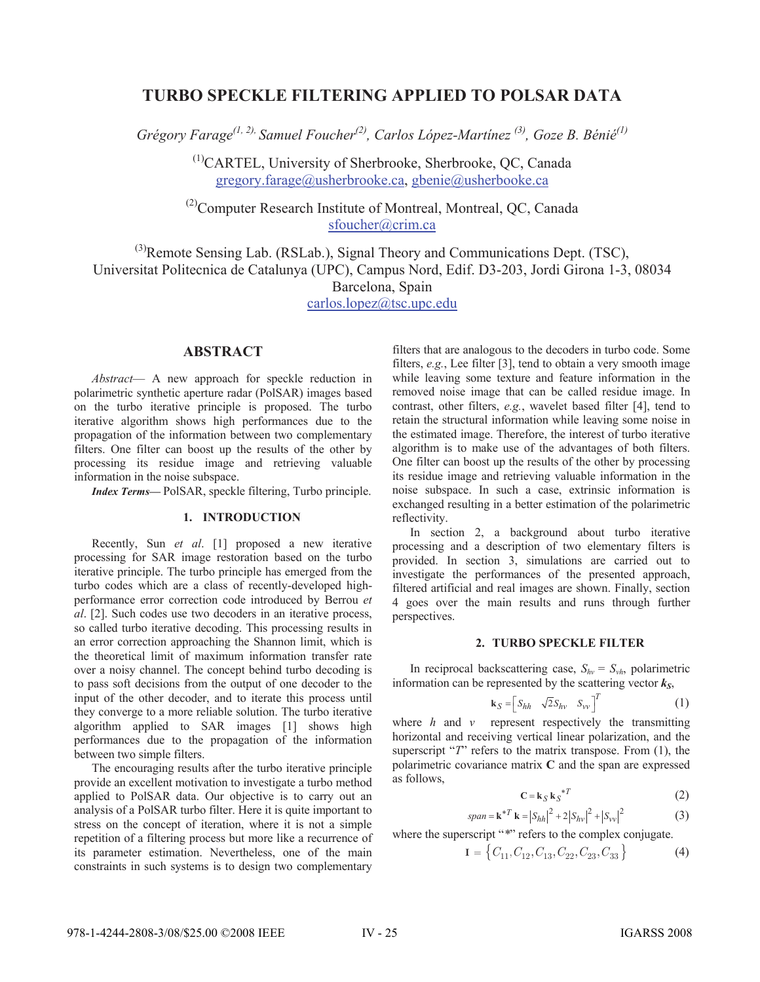# **TURBO SPECKLE FILTERING APPLIED TO POLSAR DATA**

*Grégory Farage(1, 2), Samuel Foucher(2), Carlos López-Martínez (3), Goze B. Bénié(1)*

(1)CARTEL, University of Sherbrooke, Sherbrooke, QC, Canada gregory.farage@usherbrooke.ca, gbenie@usherbooke.ca

 $^{(2)}$ Computer Research Institute of Montreal, Montreal, QC, Canada sfoucher@crim.ca

 $^{(3)}$ Remote Sensing Lab. (RSLab.), Signal Theory and Communications Dept. (TSC), Universitat Politecnica de Catalunya (UPC), Campus Nord, Edif. D3-203, Jordi Girona 1-3, 08034 Barcelona, Spain

carlos.lopez@tsc.upc.edu

# **ABSTRACT**

*Abstract*— A new approach for speckle reduction in polarimetric synthetic aperture radar (PolSAR) images based on the turbo iterative principle is proposed. The turbo iterative algorithm shows high performances due to the propagation of the information between two complementary filters. One filter can boost up the results of the other by processing its residue image and retrieving valuable information in the noise subspace.

*Index Terms—* PolSAR, speckle filtering, Turbo principle.

# **1. INTRODUCTION**

Recently, Sun *et al*. [1] proposed a new iterative processing for SAR image restoration based on the turbo iterative principle. The turbo principle has emerged from the turbo codes which are a class of recently-developed highperformance error correction code introduced by Berrou *et al*. [2]. Such codes use two decoders in an iterative process, so called turbo iterative decoding. This processing results in an error correction approaching the Shannon limit, which is the theoretical limit of maximum information transfer rate over a noisy channel. The concept behind turbo decoding is to pass soft decisions from the output of one decoder to the input of the other decoder, and to iterate this process until they converge to a more reliable solution. The turbo iterative algorithm applied to SAR images [1] shows high performances due to the propagation of the information between two simple filters.

The encouraging results after the turbo iterative principle provide an excellent motivation to investigate a turbo method applied to PolSAR data. Our objective is to carry out an analysis of a PolSAR turbo filter. Here it is quite important to stress on the concept of iteration, where it is not a simple repetition of a filtering process but more like a recurrence of its parameter estimation. Nevertheless, one of the main constraints in such systems is to design two complementary

filters that are analogous to the decoders in turbo code. Some filters, *e.g.*, Lee filter [3], tend to obtain a very smooth image while leaving some texture and feature information in the removed noise image that can be called residue image. In contrast, other filters, *e.g.*, wavelet based filter [4], tend to retain the structural information while leaving some noise in the estimated image. Therefore, the interest of turbo iterative algorithm is to make use of the advantages of both filters. One filter can boost up the results of the other by processing its residue image and retrieving valuable information in the noise subspace. In such a case, extrinsic information is exchanged resulting in a better estimation of the polarimetric reflectivity.

In section 2, a background about turbo iterative processing and a description of two elementary filters is provided. In section 3, simulations are carried out to investigate the performances of the presented approach, filtered artificial and real images are shown. Finally, section 4 goes over the main results and runs through further perspectives.

## **2. TURBO SPECKLE FILTER**

In reciprocal backscattering case,  $S_{hv} = S_{vh}$ , polarimetric information can be represented by the scattering vector  $k_S$ ,

$$
\mathbf{k}_{S} = \begin{bmatrix} S_{hh} & \sqrt{2}S_{hv} & S_{vv} \end{bmatrix}^{T}
$$
 (1)

where *h* and *v* represent respectively the transmitting horizontal and receiving vertical linear polarization, and the superscript "*T*" refers to the matrix transpose. From (1), the polarimetric covariance matrix **C** and the span are expressed as follows,

$$
\mathbf{C} = \mathbf{k}_{S} \mathbf{k}_{S}^{*T} \tag{2}
$$

$$
span = \mathbf{k}^{*T} \mathbf{k} = |S_{hh}|^2 + 2|S_{hv}|^2 + |S_{vv}|^2
$$
 (3)

where the superscript "\*" refers to the complex conjugate.

$$
\mathbf{I} = \left\{ C_{11}, C_{12}, C_{13}, C_{22}, C_{23}, C_{33} \right\} \tag{4}
$$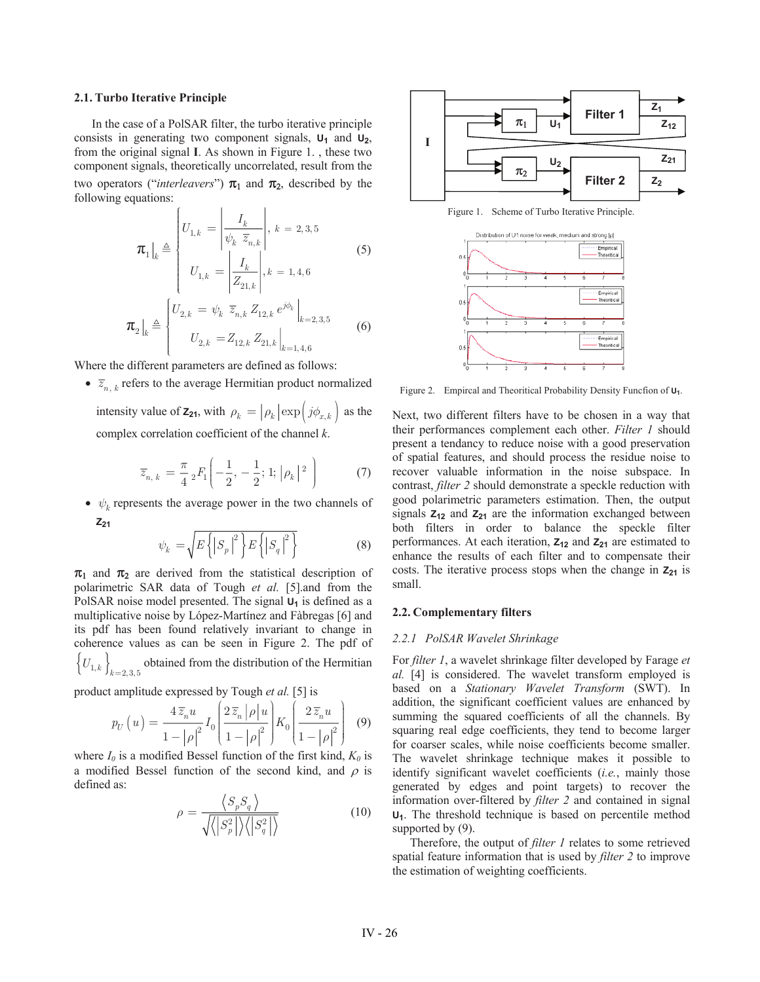#### **2.1. Turbo Iterative Principle**

In the case of a PolSAR filter, the turbo iterative principle consists in generating two component signals,  $U_1$  and  $U_2$ , from the original signal **I**. As shown in Figure 1. , these two component signals, theoretically uncorrelated, result from the two operators ("*interleavers*")  $\pi_1$  and  $\pi_2$ , described by the following equations:

$$
\boldsymbol{\pi}_{1}|_{k} \triangleq \begin{cases} U_{1,k} = \left| \frac{I_{k}}{\psi_{k} \ \overline{z}_{n,k}} \right|, k = 2, 3, 5 \\ U_{1,k} = \left| \frac{I_{k}}{Z_{21,k}} \right|, k = 1, 4, 6 \end{cases}
$$
(5)  

$$
\boldsymbol{\pi}_{2}|_{k} \triangleq \begin{cases} U_{2,k} = \psi_{k} \ \overline{z}_{n,k} Z_{12,k} e^{j\phi_{k}} \Big|_{k=2,3,5} \\ U_{2,k} = Z_{12,k} Z_{21,k} \Big|_{k=1,4,6} \end{cases}
$$
(6)

Where the different parameters are defined as follows:

•  $\overline{z}_{n,k}$  refers to the average Hermitian product normalized intensity value of  $\mathbf{z}_{21}$ , with  $\rho_k = |\rho_k| \exp \left( j \phi_{x,k} \right)$  as the

complex correlation coefficient of the channel *k*.

$$
\overline{z}_{n,k} = \frac{\pi}{4} {}_2F_1\left(-\frac{1}{2}, -\frac{1}{2}; 1; |\rho_k|^2\right) \tag{7}
$$

•  $\psi_k$  represents the average power in the two channels of **Z 21**

$$
\psi_k = \sqrt{E\left\{ \left| S_p \right|^2 \right\} E\left\{ \left| S_q \right|^2 \right\}} \tag{8}
$$

 $\pi_1$  and  $\pi_2$  are derived from the statistical description of polarimetric SAR data of Tough *et al.* [5].and from the PolSAR noise model presented. The signal  $U_1$  is defined as a multiplicative noise by López-Martínez and Fàbregas [6] and its pdf has been found relatively invariant to change in coherence values as can be seen in Figure 2. The pdf of  $\left\{ U_{1,k} \right\}_{k=2,3,5}$  obtained from the distribution of the Hermitian

product amplitude expressed by Tough *et al.* [5] is

$$
p_U(u) = \frac{4\,\overline{z}_n u}{1 - |\rho|^2} I_0\left(\frac{2\,\overline{z}_n \,|\rho| u}{1 - |\rho|^2}\right) K_0\left(\frac{2\,\overline{z}_n u}{1 - |\rho|^2}\right) \tag{9}
$$

where  $I_0$  is a modified Bessel function of the first kind,  $K_0$  is a modified Bessel function of the second kind, and  $\rho$  is defined as:

$$
\rho = \frac{\langle S_p S_q \rangle}{\sqrt{\langle |S_p^2| \rangle \langle |S_q^2| \rangle}}
$$
(10)



Figure 1. Scheme of Turbo Iterative Principle.



Figure 2. Empircal and Theoritical Probability Density Funcfion of  $U_1$ .

Next, two different filters have to be chosen in a way that their performances complement each other. *Filter 1* should present a tendancy to reduce noise with a good preservation of spatial features, and should process the residue noise to recover valuable information in the noise subspace. In contrast, *filter 2* should demonstrate a speckle reduction with good polarimetric parameters estimation. Then, the output signals  $Z_{12}$  and  $Z_{21}$  are the information exchanged between both filters in order to balance the speckle filter performances. At each iteration,  $Z_{12}$  and  $Z_{21}$  are estimated to enhance the results of each filter and to compensate their costs. The iterative process stops when the change in  $Z_{21}$  is small.

## **2.2. Complementary filters**

#### *2.2.1 PolSAR Wavelet Shrinkage*

For *filter 1*, a wavelet shrinkage filter developed by Farage *et al.* [4] is considered. The wavelet transform employed is based on a *Stationary Wavelet Transform* (SWT). In addition, the significant coefficient values are enhanced by summing the squared coefficients of all the channels. By squaring real edge coefficients, they tend to become larger for coarser scales, while noise coefficients become smaller. The wavelet shrinkage technique makes it possible to identify significant wavelet coefficients (*i.e.*, mainly those generated by edges and point targets) to recover the information over-filtered by *filter 2* and contained in signal **U1**. The threshold technique is based on percentile method supported by  $(9)$ .

Therefore, the output of *filter 1* relates to some retrieved spatial feature information that is used by *filter 2* to improve the estimation of weighting coefficients.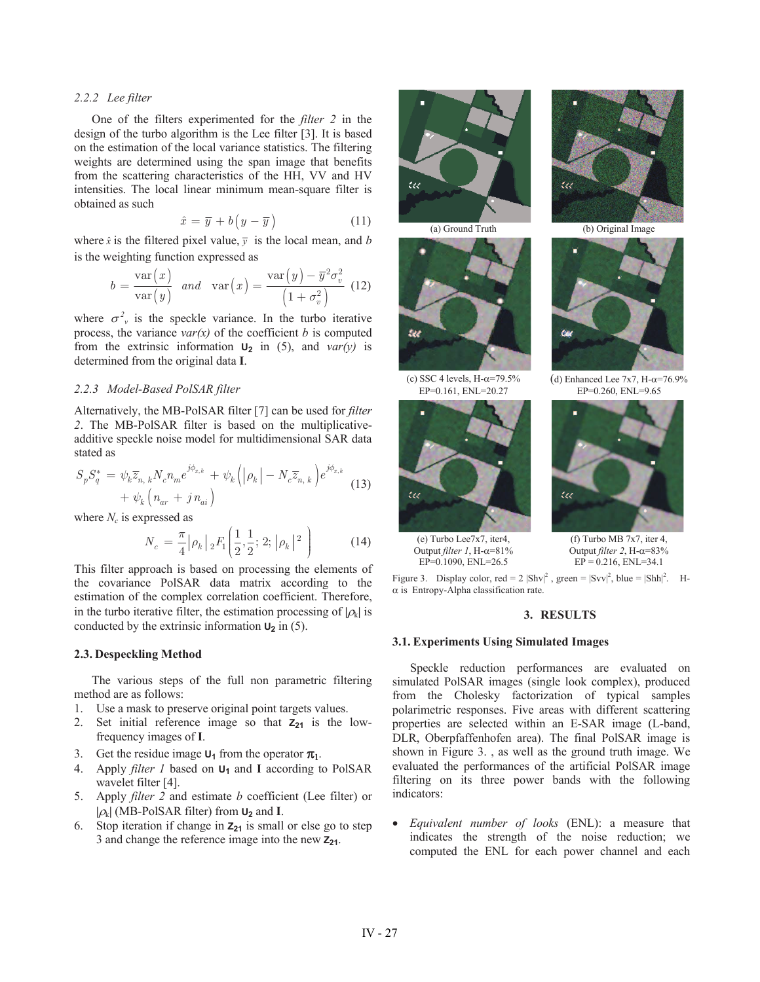## *2.2.2 Lee filter*

One of the filters experimented for the *filter 2* in the design of the turbo algorithm is the Lee filter [3]. It is based on the estimation of the local variance statistics. The filtering weights are determined using the span image that benefits from the scattering characteristics of the HH, VV and HV intensities. The local linear minimum mean-square filter is obtained as such

$$
\hat{x} = \overline{y} + b\left(y - \overline{y}\right) \tag{11}
$$

where  $\hat{x}$  is the filtered pixel value,  $\overline{y}$  is the local mean, and *b* is the weighting function expressed as

$$
b = \frac{\text{var}(x)}{\text{var}(y)} \quad \text{and} \quad \text{var}\left(x\right) = \frac{\text{var}\left(y\right) - \overline{y}^2 \sigma_v^2}{\left(1 + \sigma_v^2\right)} \tag{12}
$$

where  $\sigma^2$ <sup>*v*</sup> is the speckle variance. In the turbo iterative process, the variance  $var(x)$  of the coefficient *b* is computed from the extrinsic information  $U_2$  in (5), and *var(y)* is determined from the original data **I**.

## *2.2.3 Model-Based PolSAR filter*

Alternatively, the MB-PolSAR filter [7] can be used for *filter 2*. The MB-PolSAR filter is based on the multiplicativeadditive speckle noise model for multidimensional SAR data stated as

$$
S_p S_q^* = \psi_k \overline{z}_{n,k} N_c n_m e^{j\phi_{x,k}} + \psi_k \left( |\rho_k| - N_c \overline{z}_{n,k} \right) e^{j\phi_{x,k}} + \psi_k \left( n_{ar} + j n_{ai} \right)
$$
(13)

where  $N_c$  is expressed as

$$
N_c = \frac{\pi}{4} |\rho_k| \, _2F_1\left(\frac{1}{2}, \frac{1}{2}; 2; |\rho_k|^2\right) \tag{14}
$$

This filter approach is based on processing the elements of the covariance PolSAR data matrix according to the estimation of the complex correlation coefficient. Therefore, in the turbo iterative filter, the estimation processing of  $|\rho_k|$  is conducted by the extrinsic information  $U_2$  in (5).

## **2.3. Despeckling Method**

The various steps of the full non parametric filtering method are as follows:

- 1. Use a mask to preserve original point targets values.
- 2. Set initial reference image so that  $Z_{21}$  is the lowfrequency images of **I**.
- 3. Get the residue image  $U_1$  from the operator  $\pi_1$ .
- 4. Apply *filter 1* based on **U1** and **I** according to PolSAR wavelet filter [4].
- 5. Apply *filter 2* and estimate *b* coefficient (Lee filter) or  $|\rho_k|$  (MB-PolSAR filter) from  $U_2$  and **I**.
- 6. Stop iteration if change in  $\mathbf{Z}_{21}$  is small or else go to step 3 and change the reference image into the new **Z21**.



(a) Ground Truth (b) Original Image





 (e) Turbo Lee7x7, iter4, Output *filter 1*, H- $\alpha$ =81%





(c) SSC 4 levels, H- $\alpha$ =79.5% (d) Enhanced Lee 7x7, H- $\alpha$ =76.9% EP=0.161, ENL=20.27 EP=0.260, ENL=9.65



 $\overline{(f)}$  Turbo MB 7x7, iter 4, Output *filter 2*, H- $\alpha$ =83% EP=0.1090, ENL=26.5  $EP = 0.216$ , ENL=34.1

Figure 3. Display color, red =  $2 |Shv|^2$ , green =  $|Svv|^2$ , blue =  $|Shh|^2$ . H- $\alpha$  is Entropy-Alpha classification rate.

### **3. RESULTS**

#### **3.1. Experiments Using Simulated Images**

Speckle reduction performances are evaluated on simulated PolSAR images (single look complex), produced from the Cholesky factorization of typical samples polarimetric responses. Five areas with different scattering properties are selected within an E-SAR image (L-band, DLR, Oberpfaffenhofen area). The final PolSAR image is shown in Figure 3. , as well as the ground truth image. We evaluated the performances of the artificial PolSAR image filtering on its three power bands with the following indicators:

x *Equivalent number of looks* (ENL): a measure that indicates the strength of the noise reduction; we computed the ENL for each power channel and each